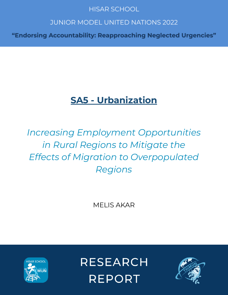### **HISAR SCHOOL**

## **JUNIOR MODEL UNITED NATIONS 2022**

"Endorsing Accountability: Reapproaching Neglected Urgencies"

## **SA5 - Urbanization**

# *Increasing Employment Opportunities in Rural Regions to Mitigate the Effects of Migration to Overpopulated Regions*

MELIS AKAR



**RESEARCH REPORT** 

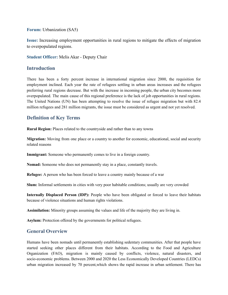**Forum:** Urbanization (SA5)

**Issue:** Increasing employment opportunities in rural regions to mitigate the effects of migration to overpopulated regions.

**Student Officer:** Melis Akar - Deputy Chair

#### **Introduction**

There has been a forty percent increase in international migration since 2000, the requisition for employment inclined. Each year the rate of refugees settling in urban areas increases and the refugees preferring rural regions decrease. But with the increase in incoming people, the urban city becomes more overpopulated. The main cause of this regional preference is the lack of job opportunities in rural regions. The United Nations (UN) has been attempting to resolve the issue of refugee migration but with 82.4 million refugees and 281 million migrants, the issue must be considered as urgent and not yet resolved.

#### **Definition of Key Terms**

**Rural Region:** Places related to the countryside and rather than to any towns

**Migration:** Moving from one place or a country to another for economic, educational, social and security related reasons

**Immigrant:** Someone who permanently comes to live in a foreign country.

**Nomad:** Someone who does not permanently stay in a place, constantly travels.

**Refugee:** A person who has been forced to leave a country mainly because of a war

**Slum:** Informal settlements in cities with very poor habitable conditions; usually are very crowded

**Internally Displaced Person (IDP):** People who have been obligated or forced to leave their habitats because of violence situations and human rights violations.

**Assimilation:** Minority groups assuming the values and life of the majority they are living in.

**Asylum:** Protection offered by the governments for political refugees.

#### **General Overview**

Humans have been nomads until permanently establishing sedentary communities. After that people have started seeking other places different from their habitats. According to the Food and Agriculture Organization (FAO), migration is mainly caused by conflicts, violence, natural disasters, and socio-economic problems. Between 2000 and 2020 the Less Economically Developed Countries (LEDCs) urban migration increased by 70 percent,which shows the rapid increase in urban settlement. There has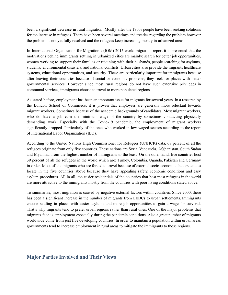been a significant decrease in rural migration. Mostly after the 1900s people have been seeking solutions for the increase in refugees. There have been several meetings and treaties regarding the problem however the problem is not yet fully resolved and the refugees keep increasing mostly in urbanized areas.

In International Organization for Migration's (IOM) 2015 world migration report it is presented that the motivations behind immigrants settling in urbanized cities are mainly; search for better job opportunities, women working to support their families or rejoining with their husbands, people searching for asylums, students, environmental disasters, and national conflicts. Urban cities also provide the migrants healthcare systems, educational opportunities, and security. These are particularly important for immigrants because after leaving their countries because of social or economic problems, they seek for places with better governmental services. However since most rural regions do not have such extensive privileges in communal services, immigrants choose to travel to more populated regions.

As stated before, employment has been an important issue for migrants for several years. In a research by the London School of Commerce, it is proven that employers are generally more reluctant towards migrant workers. Sometimes because of the academic backgrounds of candidates. Most migrant workers, who do have a job earn the minimum wage of the country by sometimes conducting physically demanding work. Especially with the Covid-19 pandemic, the employment of migrant workers significantly dropped. Particularly of the ones who worked in low-waged sectors according to the report of International Labor Organization (ILO).

According to the United Nations High Commissioner for Refugees (UNHCR) data, 68 percent of all the refugees originate from only five countries. These nations are Syria, Venezuela, Afghanistan, South Sudan and Myanmar from the highest number of immigrants to the least. On the other hand, five countries host 39 percent of all the refugees in the world which are: Turkey, Colombia, Uganda, Pakistan and Germany in order. Most of the migrants who are forced to travel because of external socio-economic factors tend to locate in the five countries above because they have appealing safety, economic conditions and easy asylum procedures. All in all, the easier residentials of the countries that host most refugees in the world are more attractive to the immigrants mostly from the countries with poor living conditions stated above.

To summarize, most migration is caused by negative external factors within countries. Since 2000, there has been a significant increase in the number of migrants from LEDCs to urban settlements. Immigrants choose settling in places with easier asylums and more job opportunities to gain a wage for survival. That's why migrants tend to prefer urban regions rather than rural ones. One of the major problems that migrants face is employment especially during the pandemic conditions. Also a great number of migrants worldwide come from just five developing countries. In order to maintain a population within urban areas governments tend to increase employment in rural areas to mitigate the immigrants to those regions.

#### **Major Parties Involved and Their Views**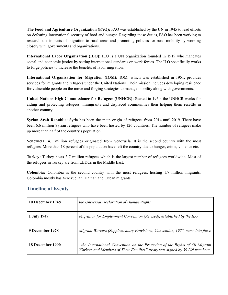**The Food and Agriculture Organization (FAO):** FAO was established by the UN in 1945 to lead efforts on defeating international security of food and hunger. Regarding these duties, FAO has been working to research the impacts of migration to rural areas and promoting policies for rural mobility by working closely with governments and organizations.

**International Labor Organization (ILO):** ILO is a UN organization founded in 1919 who mandates social and economic justice by setting international standards on work forces. The ILO specifically works to forge policies to increase the benefits of labor migration.

**International Organization for Migration (IOM):** IOM, which was established in 1951, provides services for migrants and refugees under the United Nations. Their mission includes developing resilience for vulnerable people on the move and forging strategies to manage mobility along with governments.

**United Nations High Commissioner for Refugees (UNHCR):** Started in 1950, the UNHCR works for aiding and protecting refugees, immigrants and displaced communities then helping them resettle in another country.

**Syrian Arab Republic:** Syria has been the main origin of refugees from 2014 until 2019. There have been 6.6 million Syrian refugees who have been hosted by 126 countries. The number of refugees make up more than half of the country's population.

**Venezuela:** 4.1 million refugees originated from Venezuela. It is the second country with the most refugees. More than 18 percent of the population have left the country due to hunger, crime, violence etc.

**Turkey:** Turkey hosts 3.7 million refugees which is the largest number of refugees worldwide. Most of the refugees in Turkey are from LEDCs in the Middle East.

**Colombia:** Colombia is the second country with the most refugees, hosting 1.7 million migrants. Colombia mostly has Venezuellan, Haitian and Cuban migrants.

#### **Timeline of Events**

| 10 December 1948 | the Universal Declaration of Human Rights                                                                                                                 |
|------------------|-----------------------------------------------------------------------------------------------------------------------------------------------------------|
| 1 July 1949      | Migration for Employment Convention (Revised), established by the ILO                                                                                     |
| 9 December 1978  | Migrant Workers (Supplementary Provisions) Convention, 1975, came into force                                                                              |
| 18 December 1990 | "the International Convention on the Protection of the Rights of All Migrant<br>Workers and Members of Their Families" treaty was signed by 39 UN members |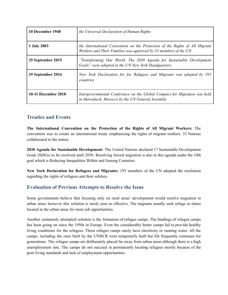| 10 December 1948    | the Universal Declaration of Human Rights                                                                                                      |
|---------------------|------------------------------------------------------------------------------------------------------------------------------------------------|
| 1 July 2003         | the International Convention on the Protection of the Rights of All Migrant<br>Workers and Their Families was approved by 33 members of the UN |
| 25 September 2015   | "Transforming Our World: The 2030 Agenda for Sustainable Development<br>Goals" were adopted in the UN New York Headquarters                    |
| 19 September 2016   | New York Declaration for for Refugees and Migrants was adopted by 193<br>countries                                                             |
| 10-11 December 2018 | Intergovernmental Conference on the Global Compact for Migration was held<br>in Marrakech, Morocco by the UN General Assembly                  |

#### **Treaties and Events**

**The International Convention on the Protection of the Rights of All Migrant Workers:** The convention was to create an international treaty emphasizing the rights of migrant workers. 33 Nations collaborated to the tratety.

**2030 Agenda for Sustainable Development:** The United Nations declared 17 Sustainable Development Goals (SDGs) to be resolved until 2030. Resolving forced migration is also in this agenda under the 10th goal which is Reducing Inequalities Within and Among Countries.

**New York Declaration for Refugees and Migrants:** 193 members of the UN adopted the resolution regarding the rights of refugees and their safeties.

#### **Evaluation of Previous Attempts to Resolve the Issue**

Some governments believe that focusing only on rural areas' development would resolve migration to urban areas however this solution is rarely seen as effective. The migrants usually seek refuge in slums located in the urban areas for more job opportunities.

Another commonly attempted solution is the formation of refugee camps. The fundings of refugee camps has been going on since the 1950s in Europe. Even the considerably better camps fail to provide healthy living conditions for the refugees. These refugee camps rarely have electricity or running water. All the camps, including the ones built by the UNHCR were temporarily built but life frequently continues for generations. The refugee camps are deliberately placed far away from urban areas although there is a high unemployment rate. The camps do not succeed in permanently locating refugees mostly because of the poor living standards and lack of employment opportunities.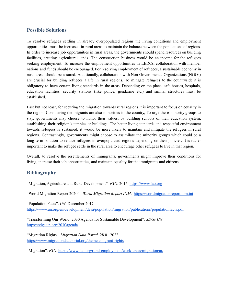#### **Possible Solutions**

To resolve refugees settling in already overpopulated regions the living conditions and employment opportunities must be increased in rural areas to maintain the balance between the populations of regions. In order to increase job opportunities in rural areas, the governments should spend resources on building facilities, creating agricultural lands. The construction business would be an income for the refugees seeking employment. To increase the employment opportunities in LEDCs, collaboration with member nations and funds should be encouraged. For resolving employment of refugees, a sustainable economy in rural areas should be assured. Additionally, collaboration with Non-Governmental Organizations (NGOs) are crucial for building refugees a life in rural regions. To mitigate refugees to the countryside it is obligatory to have certain living standards in the areas. Depending on the place, safe houses, hospitals, education facilities, security stations (like police, gendarme etc.) and similar structures must be established.

Last but not least, for securing the migration towards rural regions it is important to focus on equality in the region. Considering the migrants are also minorities in the country, To urge these minority groups to stay, governments may choose to honor their values, by building schools of their education system, establishing their religion's temples or buildings. The better living standards and respectful environment towards refugees is sustained, it would be more likely to maintain and mitigate the refugees in rural regions. Contrastingly, governments might choose to assimilate the minority groups which could be a long term solution to reduce refugees in overpopulated regions depending on their policies. It is rather important to make the refugee settle in the rural area to encourage other refugees to live in that region.

Overall, to resolve the resettlements of immigrants, governments might improve their conditions for living, increase their job opportunities, and maintain equality for the immigrants and citizens.

#### **Bibliography**

"Migration, Agriculture and Rural Development". *FAO*. 2016, [https://www.fao.org](https://www.fao.org/3/i6064e/i6064e.pdf)

"World Migration Report 2020". *World Migration Report IOM*. [https://worldmigrationreport.iom.int](https://worldmigrationreport.iom.int/wmr-2020-interactive/#:~:text=The%20current%20global%20estimate%20is,over%20the%20past%20five%20decades)

"Population Facts". *UN*. December 2017, [https://www.un.org/en/development/desa/population/migration/publications/populationfacts.pdf](https://www.un.org/en/development/desa/population/migration/publications/populationfacts/docs/MigrationPopFacts20178.pdf)

"Transforming Our World: 2030 Agenda for Sustainable Development". *SDGs UN*. <https://sdgs.un.org/2030agenda>

"Migration Rights". *Migration Data Portal*. 28.01.2022, <https://www.migrationdataportal.org/themes/migrant-rights>

"Migration". *FAO*. <https://www.fao.org/rural-employment/work-areas/migration/ar/>